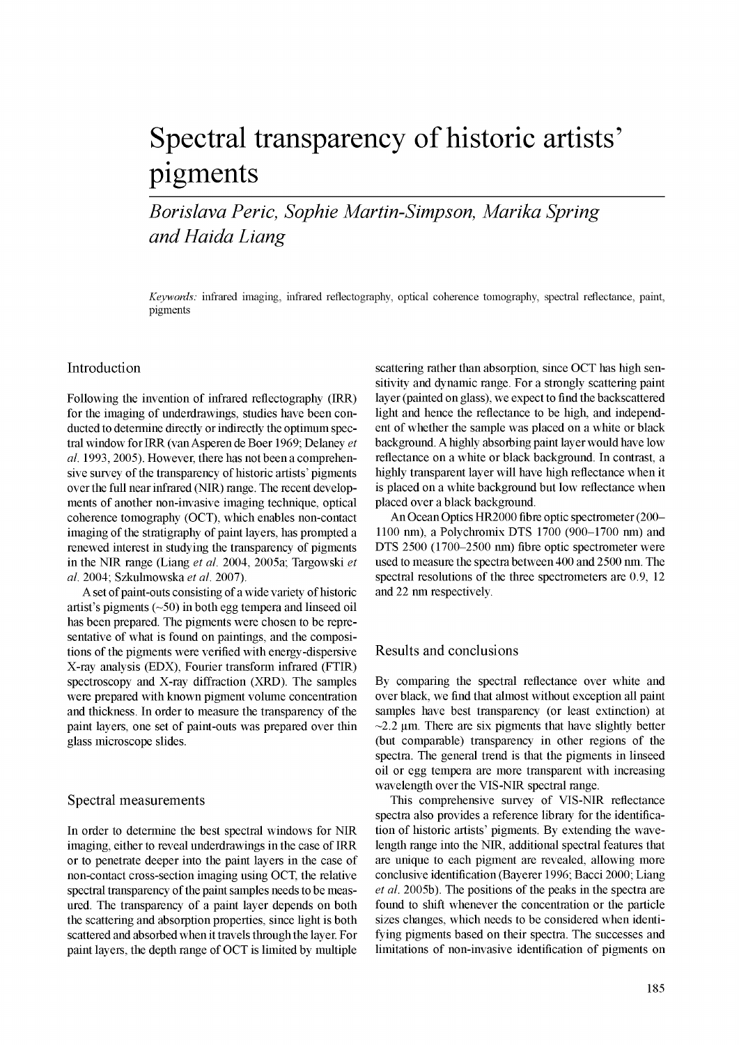# Spectral transparency of historic artists' pigments

*Borislava Peric, Sophie Martin-Simpson, Marika Spring and Haida Liang* 

*Keywords:* infrared imaging, infrared refiectography, optical coherence tomography, spectral reflectance, paint, pigments

## Introduction

Following the invention of infrared reflectography (IRR) for the imaging of underdrawings, studies have been conducted to determine directly or indirectly the optimum spectral window for IRR (van Asperen de Boer 1969; Delaney *et al.* 1993, 2005). However, there has not been a comprehensive survey of the transparency of historic artists' pigments over the full near infrared (NIR) range. The recent developments of another non-invasive imaging technique, optical coherence tomography (OCT), which enables non-contact imaging of the stratigraphy of paint layers, has prompted a renewed interest in studying the transparency of pigments in the NIR range (Liang *et al.* 2004, 2005a; Targowski *et al.* 2004; Szkulmowska *et al.* 2007).

A set of paint-outs consisting of a wide variety of historic artist's pigments  $(-50)$  in both egg tempera and linseed oil has been prepared. The pigments were chosen to be representative of what is found on paintings, and the compositions of the pigments were verified with energy-dispersive X-ray analysis (EDX), Fourier transform infrared (FTIR) spectroscopy and X-ray diffraction (XRD). The samples were prepared with known pigment volume concentration and thickness. In order to measure the transparency of the paint layers, one set of paint-outs was prepared over thin glass microscope slides.

#### Spectral measurements

In order to determine the best spectral windows for NIR imaging, either to reveal underdrawings in the case of IRR or to penetrate deeper into the paint layers in the case of non-contact cross-section imaging using OCT, the relative spectral transparency of the paint samples needs to be measured. The transparency of a paint layer depends on both the scattering and absorption properties, since light is both scattered and absorbed when it travels through the layer. For paint layers, the depth range of OCT is limited by multiple scattering rather than absorption, since OCT has high sensitivity and dynamic range. For a strongly scattering paint layer (painted on glass), we expect to find the backscattered light and hence the reflectance to be high, and independent of whether the sample was placed on a white or black background. A highly absorbing paint layer would have low reflectance on a white or black background. In contrast, a highly transparent layer will have high reflectance when it is placed on a white background but low reflectance when placed over a black background.

An Ocean Optics HR2000 fibre optic spectrometer (200- 1100 nm), a Polychromix DTS 1700 (900-1700 nm) and DTS 2500 (1700-2500 nm) fibre optic spectrometer were used to measure the spectra between 400 and 2500 nm. The spectral resolutions of the three spectrometers are 0.9, 12 and 22 nm respectively.

# Results and conclusions

By comparing the spectral reflectance over white and over black, we find that almost without exception all paint samples have best transparency (or least extinction) at  $\sim$ 2.2 µm. There are six pigments that have slightly better (but comparable) transparency in other regions of the spectra. The general trend is that the pigments in linseed oil or egg tempera are more transparent with increasing wavelength over the VIS-NIR spectral range.

This comprehensive survey of VIS-NIR reflectance spectra also provides a reference library for the identification of historic artists' pigments. By extending the wavelength range into the NIR, additional spectral features that are unique to each pigment are revealed, allowing more conclusive identification (Bayerer 1996; Bacci 2000; Liang *et al.* 2005b). The positions of the peaks in the spectra are found to shift whenever the concentration or the particle sizes changes, which needs to be considered when identifying pigments based on their spectra. The successes and limitations of non-invasive identification of pigments on